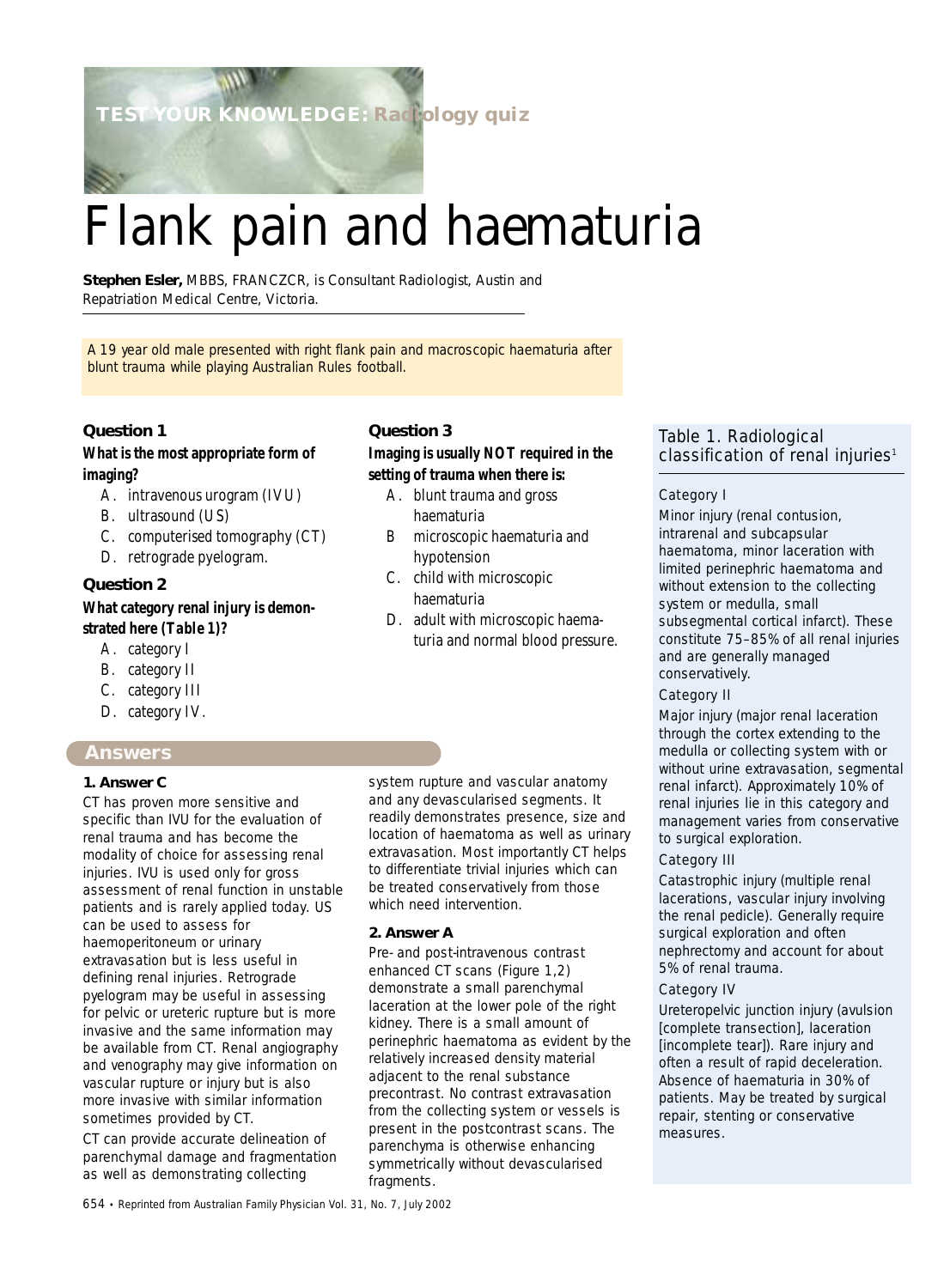**TEST YOUR KNOWLEDGE: Radiology quiz**

# Flank pain and haematuria

**Stephen Esler,** *MBBS, FRANCZCR, is Consultant Radiologist, Austin and Repatriation Medical Centre, Victoria.*

A 19 year old male presented with right flank pain and macroscopic haematuria after blunt trauma while playing Australian Rules football.

# **Question 1**

# **What is the most appropriate form of imaging?**

- A. intravenous urogram (IVU)
- B. ultrasound (US)
- C. computerised tomography (CT)
- D. retrograde pyelogram.

# **Question 2**

# **What category renal injury is demonstrated here (***Table 1***)?**

- A. category I
- B. category II
- C. category III
- D. category IV.

# **Answers**

#### **1. Answer C**

CT has proven more sensitive and specific than IVU for the evaluation of renal trauma and has become the modality of choice for assessing renal injuries. IVU is used only for gross assessment of renal function in unstable patients and is rarely applied today. US can be used to assess for haemoperitoneum or urinary extravasation but is less useful in defining renal injuries. Retrograde pyelogram may be useful in assessing for pelvic or ureteric rupture but is more invasive and the same information may be available from CT. Renal angiography and venography may give information on vascular rupture or injury but is also more invasive with similar information sometimes provided by CT.

CT can provide accurate delineation of parenchymal damage and fragmentation as well as demonstrating collecting

# **Question 3**

# **Imaging is usually NOT required in the setting of trauma when there is:**

- A. blunt trauma and gross haematuria
- B microscopic haematuria and hypotension
- C. child with microscopic haematuria
- D. adult with microscopic haematuria and normal blood pressure.

system rupture and vascular anatomy and any devascularised segments. It readily demonstrates presence, size and location of haematoma as well as urinary extravasation. Most importantly CT helps to differentiate trivial injuries which can be treated conservatively from those which need intervention.

#### **2. Answer A**

Pre- and post-intravenous contrast enhanced CT scans (*Figure 1,2*) demonstrate a small parenchymal laceration at the lower pole of the right kidney. There is a small amount of perinephric haematoma as evident by the relatively increased density material adjacent to the renal substance precontrast. No contrast extravasation from the collecting system or vessels is present in the postcontrast scans. The parenchyma is otherwise enhancing symmetrically without devascularised fragments.

# Table 1. Radiological classification of renal injuries<sup>1</sup>

#### Category I

Minor injury (renal contusion, intrarenal and subcapsular haematoma, minor laceration with limited perinephric haematoma and without extension to the collecting system or medulla, small subsegmental cortical infarct). These constitute 75–85% of all renal injuries and are generally managed conservatively.

#### Category II

Major injury (major renal laceration through the cortex extending to the medulla or collecting system with or without urine extravasation, segmental renal infarct). Approximately 10% of renal injuries lie in this category and management varies from conservative to surgical exploration.

# Category III

Catastrophic injury (multiple renal lacerations, vascular injury involving the renal pedicle). Generally require surgical exploration and often nephrectomy and account for about 5% of renal trauma.

#### Category IV

Ureteropelvic junction injury (avulsion [complete transection], laceration [incomplete tear]). Rare injury and often a result of rapid deceleration. Absence of haematuria in 30% of patients. May be treated by surgical repair, stenting or conservative measures.